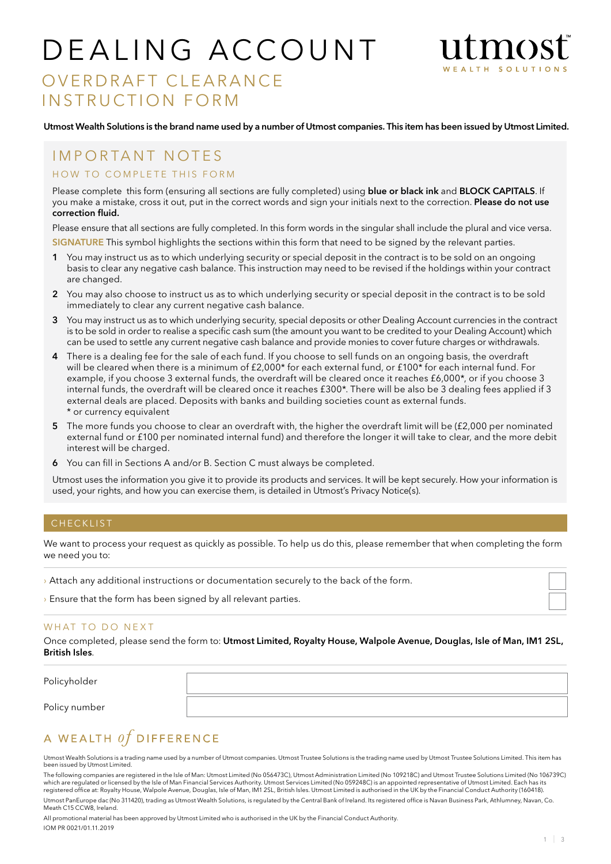# DEALING ACCOUNT



## OVERDRAFT CLEARANCE INSTRUCTION FORM

Utmost Wealth Solutions is the brand name used by a number of Utmost companies. This item has been issued by Utmost Limited.

### IMPORTANT NOTES

### HOW TO COMPLETE THIS FORM

Please complete this form (ensuring all sections are fully completed) using blue or black ink and BLOCK CAPITALS. If you make a mistake, cross it out, put in the correct words and sign your initials next to the correction. Please do not use correction fluid.

Please ensure that all sections are fully completed. In this form words in the singular shall include the plural and vice versa.

SIGNATURE This symbol highlights the sections within this form that need to be signed by the relevant parties.

- 1 You may instruct us as to which underlying security or special deposit in the contract is to be sold on an ongoing basis to clear any negative cash balance. This instruction may need to be revised if the holdings within your contract are changed.
- 2 You may also choose to instruct us as to which underlying security or special deposit in the contract is to be sold immediately to clear any current negative cash balance.
- 3 You may instruct us as to which underlying security, special deposits or other Dealing Account currencies in the contract is to be sold in order to realise a specific cash sum (the amount you want to be credited to your Dealing Account) which can be used to settle any current negative cash balance and provide monies to cover future charges or withdrawals.
- 4 There is a dealing fee for the sale of each fund. If you choose to sell funds on an ongoing basis, the overdraft will be cleared when there is a minimum of £2,000\* for each external fund, or £100\* for each internal fund. For example, if you choose 3 external funds, the overdraft will be cleared once it reaches £6,000\*, or if you choose 3 internal funds, the overdraft will be cleared once it reaches £300\*. There will be also be 3 dealing fees applied if 3 external deals are placed. Deposits with banks and building societies count as external funds. \* or currency equivalent
- 5 The more funds you choose to clear an overdraft with, the higher the overdraft limit will be (£2,000 per nominated external fund or £100 per nominated internal fund) and therefore the longer it will take to clear, and the more debit interest will be charged.
- 6 You can fill in Sections A and/or B. Section C must always be completed.

Utmost uses the information you give it to provide its products and services. It will be kept securely. How your information is used, your rights, and how you can exercise them, is detailed in Utmost's Privacy Notice(s).

### **CHECKLIST**

We want to process your request as quickly as possible. To help us do this, please remember that when completing the form we need you to:

- › Attach any additional instructions or documentation securely to the back of the form.
- › Ensure that the form has been signed by all relevant parties.

### WHAT TO DO NEXT

Once completed, please send the form to: Utmost Limited, Royalty House, Walpole Avenue, Douglas, Isle of Man, IM1 2SL, British Isles.

Policyholder

Policy number

### A WEALTH  $of$  DIFFERENCE

Utmost Wealth Solutions is a trading name used by a number of Utmost companies. Utmost Trustee Solutions is the trading name used by Utmost Trustee Solutions Limited. This item has been issued by Utmost Limited.

The following companies are registered in the Isle of Man: Utmost Limited (No 056473C), Utmost Administration Limited (No 109218C) and Utmost Trustee Solutions Limited (No 106739C) which are regulated or licensed by the Isle of Man Financial Services Authority. Utmost Services Limited (No 059248C) is an appointed representative of Utmost Limited. Each has its<br>registered office at: Royalty House, Walp Utmost PanEurope dac (No 311420), trading as Utmost Wealth Solutions, is regulated by the Central Bank of Ireland. Its registered office is Navan Business Park, Athlumney, Navan, Co. Meath C15 CCW8, Ireland.

All promotional material has been approved by Utmost Limited who is authorised in the UK by the Financial Conduct Authority.

IOM PR 0021/01.11.2019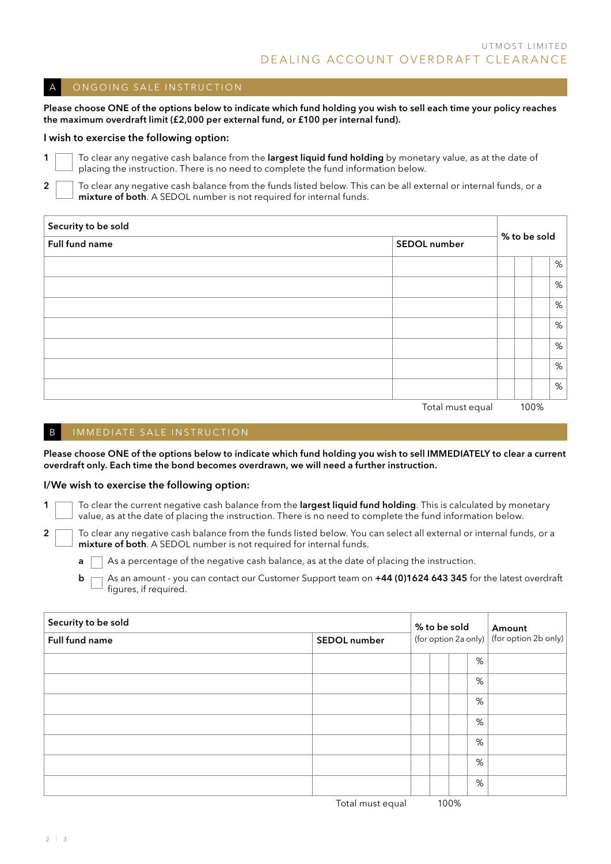### A ON GOING SALE IN STRUCTION

Please choose ONE of the options below to indicate which fund holding you wish to sell each time your policy reaches the maximum overdraft limit (£2,000 per external fund, or £100 per internal fund).

#### I wish to exercise the following option:

1 To clear any negative cash balance from the largest liquid fund holding by monetary value, as at the date of placing the instruction. There is no need to complete the fund information below.

2 To clear any negative cash balance from the funds listed below. This can be all external or internal funds, or a mixture of both. A SEDOL number is not required for internal funds.

| Security to be sold |                  |              |      |   |  |
|---------------------|------------------|--------------|------|---|--|
| Full fund name      | SEDOL number     | % to be sold |      |   |  |
|                     |                  |              |      | % |  |
|                     |                  |              |      | % |  |
|                     |                  |              |      | % |  |
|                     |                  |              |      | % |  |
|                     |                  |              |      | % |  |
|                     |                  |              |      | % |  |
|                     |                  |              |      | % |  |
|                     | Total must equal |              | 100% |   |  |

### B IMMEDIATE SALE INSTRUCTION

Please choose ONE of the options below to indicate which fund holding you wish to sell IMMEDIATELY to clear a current overdraft only. Each time the bond becomes overdrawn, we will need a further instruction.

#### I/We wish to exercise the following option:

1  $\Box$  To clear the current negative cash balance from the largest liquid fund holding. This is calculated by monetary value, as at the date of placing the instruction. There is no need to complete the fund information below.

2 To clear any negative cash balance from the funds listed below. You can select all external or internal funds, or a mixture of both. A SEDOL number is not required for internal funds.

 $\blacksquare$  As a percentage of the negative cash balance, as at the date of placing the instruction.

 $\mathsf{b} \ \Box$  As an amount - you can contact our Customer Support team on +44 (0)1624 643 345 for the latest overdraft figures, if required.

| Security to be sold |              | % to be sold |  |  |      | Amount                                      |  |
|---------------------|--------------|--------------|--|--|------|---------------------------------------------|--|
| Full fund name      | SEDOL number |              |  |  |      | (for option 2a only)   (for option 2b only) |  |
|                     |              |              |  |  | %    |                                             |  |
|                     |              |              |  |  | %    |                                             |  |
|                     |              |              |  |  | %    |                                             |  |
|                     |              |              |  |  | $\%$ |                                             |  |
|                     |              |              |  |  | $\%$ |                                             |  |
|                     |              |              |  |  | %    |                                             |  |
|                     |              |              |  |  | %    |                                             |  |